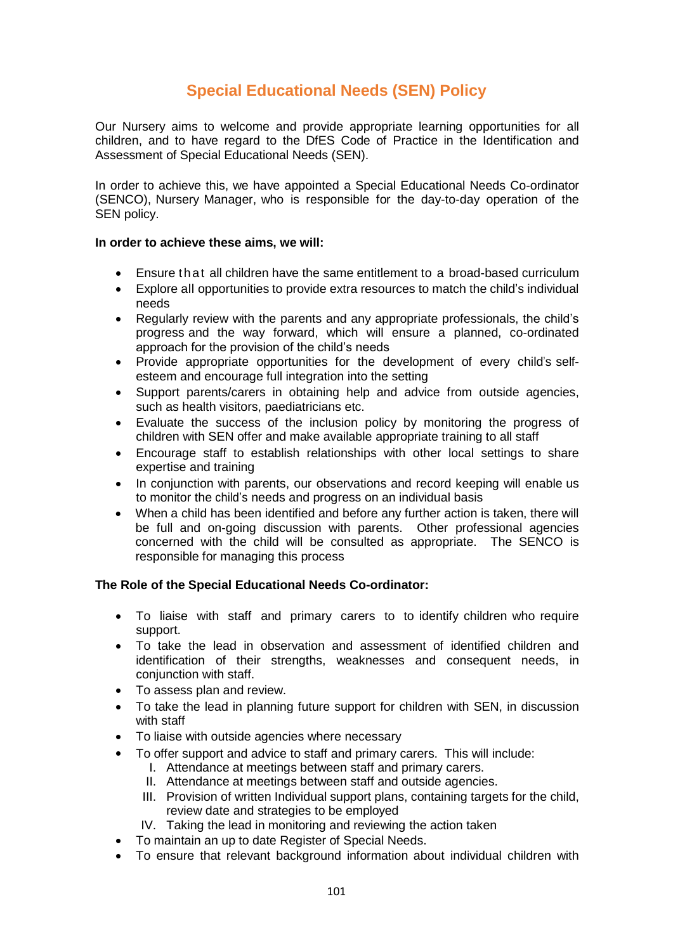# **Special Educational Needs (SEN) Policy**

Our Nursery aims to welcome and provide appropriate learning opportunities for all children, and to have regard to the DfES Code of Practice in the Identification and Assessment of Special Educational Needs (SEN).

In order to achieve this, we have appointed a Special Educational Needs Co-ordinator (SENCO), Nursery Manager, who is responsible for the day-to-day operation of the SEN policy.

#### **In order to achieve these aims, we will:**

- Ensure that all children have the same entitlement to a broad-based curriculum
- Explore all opportunities to provide extra resources to match the child's individual needs
- Regularly review with the parents and any appropriate professionals, the child's progress and the way forward, which will ensure a planned, co-ordinated approach for the provision of the child's needs
- Provide appropriate opportunities for the development of every child's selfesteem and encourage full integration into the setting
- Support parents/carers in obtaining help and advice from outside agencies, such as health visitors, paediatricians etc.
- Evaluate the success of the inclusion policy by monitoring the progress of children with SEN offer and make available appropriate training to all staff
- Encourage staff to establish relationships with other local settings to share expertise and training
- In conjunction with parents, our observations and record keeping will enable us to monitor the child's needs and progress on an individual basis
- When a child has been identified and before any further action is taken, there will be full and on-going discussion with parents. Other professional agencies concerned with the child will be consulted as appropriate. The SENCO is responsible for managing this process

## **The Role of the Special Educational Needs Co-ordinator:**

- To liaise with staff and primary carers to to identify children who require support.
- To take the lead in observation and assessment of identified children and identification of their strengths, weaknesses and consequent needs, in conjunction with staff.
- To assess plan and review.
- To take the lead in planning future support for children with SEN, in discussion with staff
- To liaise with outside agencies where necessary
- To offer support and advice to staff and primary carers. This will include:
	- I. Attendance at meetings between staff and primary carers.
	- II. Attendance at meetings between staff and outside agencies.
	- III. Provision of written Individual support plans, containing targets for the child, review date and strategies to be employed
	- IV. Taking the lead in monitoring and reviewing the action taken
- To maintain an up to date Register of Special Needs.
- To ensure that relevant background information about individual children with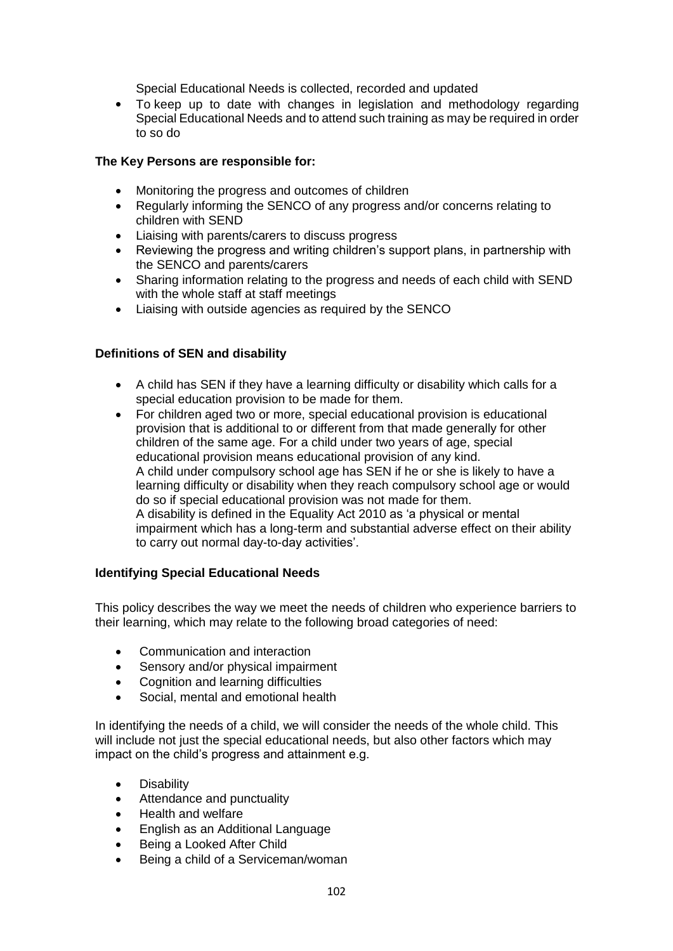Special Educational Needs is collected, recorded and updated

 To keep up to date with changes in legislation and methodology regarding Special Educational Needs and to attend such training as may be required in order to so do

#### **The Key Persons are responsible for:**

- Monitoring the progress and outcomes of children
- Regularly informing the SENCO of any progress and/or concerns relating to children with SEND
- Liaising with parents/carers to discuss progress
- Reviewing the progress and writing children's support plans, in partnership with the SENCO and parents/carers
- Sharing information relating to the progress and needs of each child with SEND with the whole staff at staff meetings
- Liaising with outside agencies as required by the SENCO

## **Definitions of SEN and disability**

- A child has SEN if they have a learning difficulty or disability which calls for a special education provision to be made for them.
- For children aged two or more, special educational provision is educational provision that is additional to or different from that made generally for other children of the same age. For a child under two years of age, special educational provision means educational provision of any kind. A child under compulsory school age has SEN if he or she is likely to have a learning difficulty or disability when they reach compulsory school age or would do so if special educational provision was not made for them. A disability is defined in the Equality Act 2010 as 'a physical or mental impairment which has a long-term and substantial adverse effect on their ability to carry out normal day-to-day activities'.

## **Identifying Special Educational Needs**

This policy describes the way we meet the needs of children who experience barriers to their learning, which may relate to the following broad categories of need:

- Communication and interaction
- Sensory and/or physical impairment
- Cognition and learning difficulties
- Social, mental and emotional health

In identifying the needs of a child, we will consider the needs of the whole child. This will include not just the special educational needs, but also other factors which may impact on the child's progress and attainment e.g.

- **•** Disability
- Attendance and punctuality
- Health and welfare
- English as an Additional Language
- Being a Looked After Child
- Being a child of a Serviceman/woman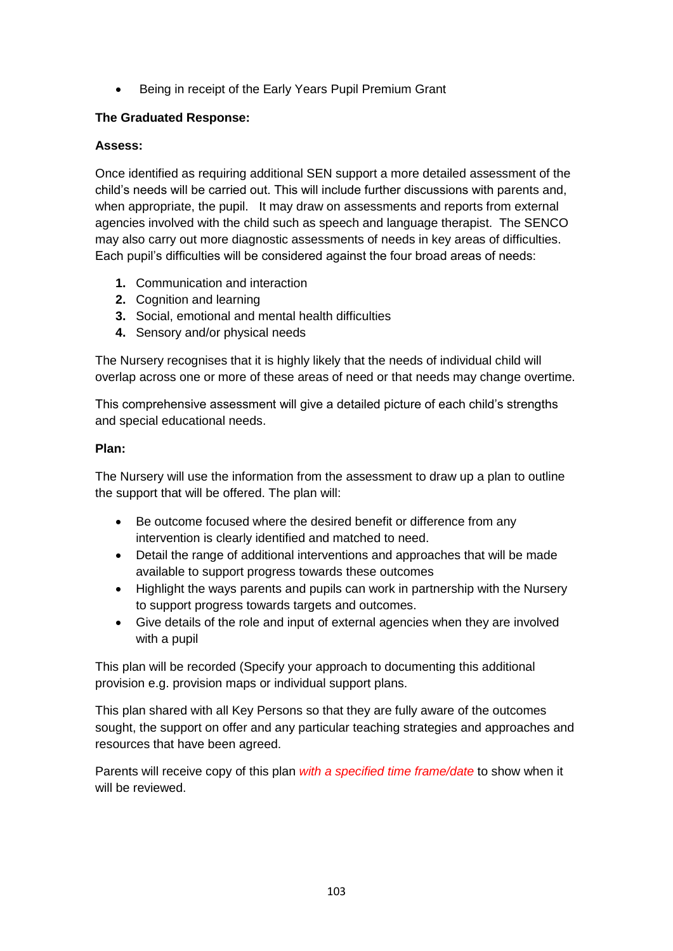• Being in receipt of the Early Years Pupil Premium Grant

## **The Graduated Response:**

## **Assess:**

Once identified as requiring additional SEN support a more detailed assessment of the child's needs will be carried out. This will include further discussions with parents and, when appropriate, the pupil. It may draw on assessments and reports from external agencies involved with the child such as speech and language therapist. The SENCO may also carry out more diagnostic assessments of needs in key areas of difficulties. Each pupil's difficulties will be considered against the four broad areas of needs:

- **1.** Communication and interaction
- **2.** Cognition and learning
- **3.** Social, emotional and mental health difficulties
- **4.** Sensory and/or physical needs

The Nursery recognises that it is highly likely that the needs of individual child will overlap across one or more of these areas of need or that needs may change overtime.

This comprehensive assessment will give a detailed picture of each child's strengths and special educational needs.

## **Plan:**

The Nursery will use the information from the assessment to draw up a plan to outline the support that will be offered. The plan will:

- Be outcome focused where the desired benefit or difference from any intervention is clearly identified and matched to need.
- Detail the range of additional interventions and approaches that will be made available to support progress towards these outcomes
- Highlight the ways parents and pupils can work in partnership with the Nursery to support progress towards targets and outcomes.
- Give details of the role and input of external agencies when they are involved with a pupil

This plan will be recorded (Specify your approach to documenting this additional provision e.g. provision maps or individual support plans.

This plan shared with all Key Persons so that they are fully aware of the outcomes sought, the support on offer and any particular teaching strategies and approaches and resources that have been agreed.

Parents will receive copy of this plan *with a specified time frame/date* to show when it will be reviewed.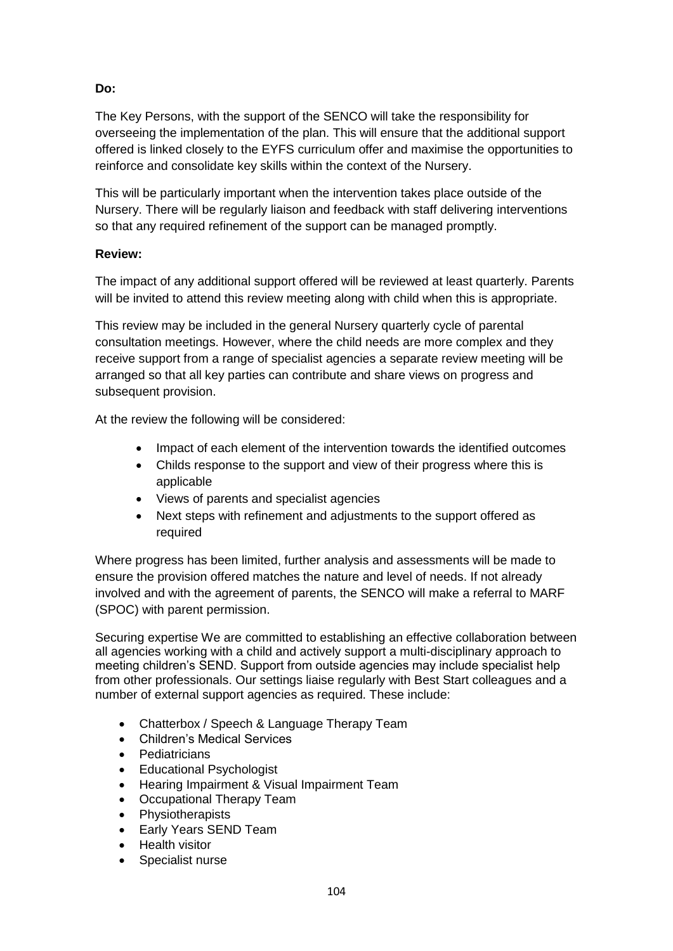# **Do:**

The Key Persons, with the support of the SENCO will take the responsibility for overseeing the implementation of the plan. This will ensure that the additional support offered is linked closely to the EYFS curriculum offer and maximise the opportunities to reinforce and consolidate key skills within the context of the Nursery.

This will be particularly important when the intervention takes place outside of the Nursery. There will be regularly liaison and feedback with staff delivering interventions so that any required refinement of the support can be managed promptly.

## **Review:**

The impact of any additional support offered will be reviewed at least quarterly. Parents will be invited to attend this review meeting along with child when this is appropriate.

This review may be included in the general Nursery quarterly cycle of parental consultation meetings. However, where the child needs are more complex and they receive support from a range of specialist agencies a separate review meeting will be arranged so that all key parties can contribute and share views on progress and subsequent provision.

At the review the following will be considered:

- Impact of each element of the intervention towards the identified outcomes
- Childs response to the support and view of their progress where this is applicable
- Views of parents and specialist agencies
- Next steps with refinement and adjustments to the support offered as required

Where progress has been limited, further analysis and assessments will be made to ensure the provision offered matches the nature and level of needs. If not already involved and with the agreement of parents, the SENCO will make a referral to MARF (SPOC) with parent permission.

Securing expertise We are committed to establishing an effective collaboration between all agencies working with a child and actively support a multi-disciplinary approach to meeting children's SEND. Support from outside agencies may include specialist help from other professionals. Our settings liaise regularly with Best Start colleagues and a number of external support agencies as required. These include:

- Chatterbox / Speech & Language Therapy Team
- Children's Medical Services
- Pediatricians
- Educational Psychologist
- Hearing Impairment & Visual Impairment Team
- Occupational Therapy Team
- Physiotherapists
- Early Years SEND Team
- Health visitor
- Specialist nurse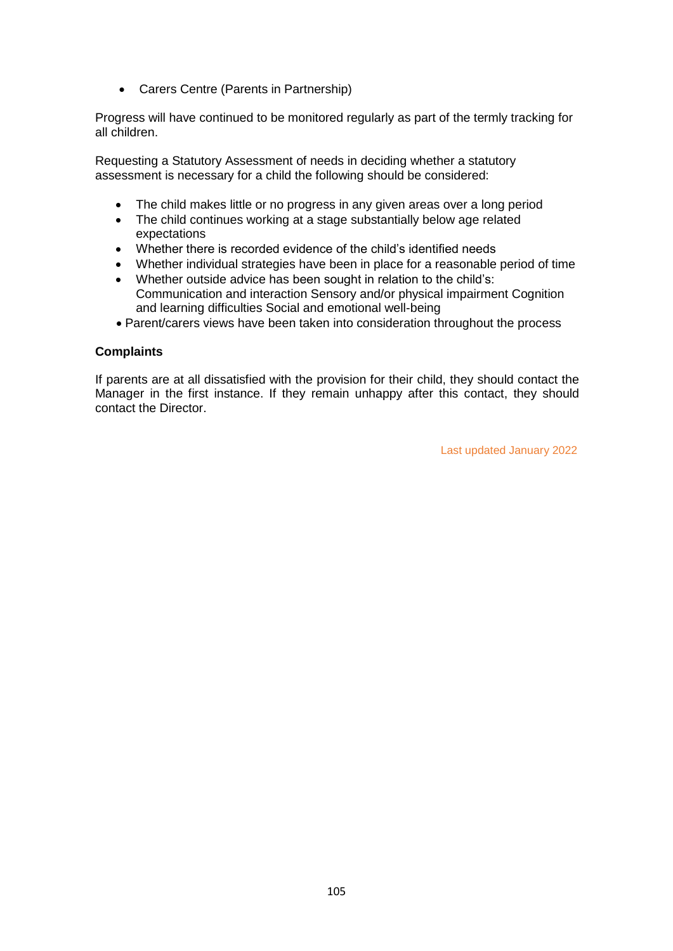Carers Centre (Parents in Partnership)

Progress will have continued to be monitored regularly as part of the termly tracking for all children.

Requesting a Statutory Assessment of needs in deciding whether a statutory assessment is necessary for a child the following should be considered:

- The child makes little or no progress in any given areas over a long period
- The child continues working at a stage substantially below age related expectations
- Whether there is recorded evidence of the child's identified needs
- Whether individual strategies have been in place for a reasonable period of time
- Whether outside advice has been sought in relation to the child's: Communication and interaction Sensory and/or physical impairment Cognition and learning difficulties Social and emotional well-being
- Parent/carers views have been taken into consideration throughout the process

#### **Complaints**

If parents are at all dissatisfied with the provision for their child, they should contact the Manager in the first instance. If they remain unhappy after this contact, they should contact the Director.

Last updated January 2022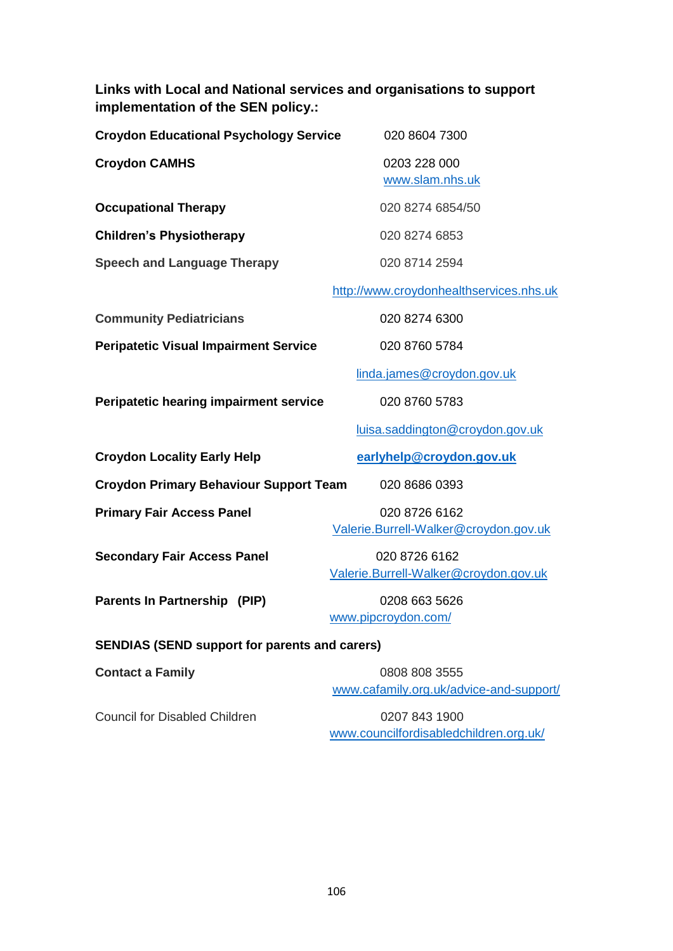**Links with Local and National services and organisations to support implementation of the SEN policy.:**

| <b>Croydon Educational Psychology Service</b> | 020 8604 7300                   |
|-----------------------------------------------|---------------------------------|
| <b>Croydon CAMHS</b>                          | 0203 228 000<br>www.slam.nhs.uk |
| <b>Occupational Therapy</b>                   | 020 8274 6854/50                |
| <b>Children's Physiotherapy</b>               | 020 8274 6853                   |
| <b>Speech and Language Therapy</b>            | 020 8714 2594                   |

[http://www.croydonhealthservices.nhs.uk](http://www.croydonhealthservices.nhs.uk/Childrens%20speech%20and%20language%20therapy%20service.htm)

**Community Pediatricians** 020 8274 6300

Peripatetic Visual Impairment Service 020 8760 5784

[linda.james@croydon.gov.uk](mailto:linda.james@croydon.gov.uk)

[luisa.saddington@croydon.gov.uk](mailto:luisa.saddington@croydon.gov.uk)

**Peripatetic hearing impairment service** 020 8760 5783

**Croydon Locality Early Help** *[earlyhelp@croydon.gov.uk](mailto:earlyhelp@croydon.gov.uk)* 

**Croydon Primary Behaviour Support Team** 020 8686 0393

**Primary Fair Access Panel 020 8726 6162** 

[Valerie.Burrell-Walker@croydon.gov.uk](mailto:Valerie.Burrell-Walker@croydon.gov.uk)

**Secondary Fair Access Panel** 020 8726 6162

[Valerie.Burrell-Walker@croydon.gov.uk](mailto:Valerie.Burrell-Walker@croydon.gov.uk)

**Parents In Partnership (PIP)** 0208 663 5626

[www.pipcroydon.com/](http://www.pipcroydon.com/)

## **SENDIAS (SEND support for parents and carers)**

**Contact a Family** 2008 808 3555 [www.cafamily.org.uk/advice-and-support/](http://www.cafamily.org.uk/advice-and-support/)

Council for Disabled Children 0207 843 1900

[www.councilfordisabledchildren.org.uk/](http://www.councilfordisabledchildren.org.uk/)